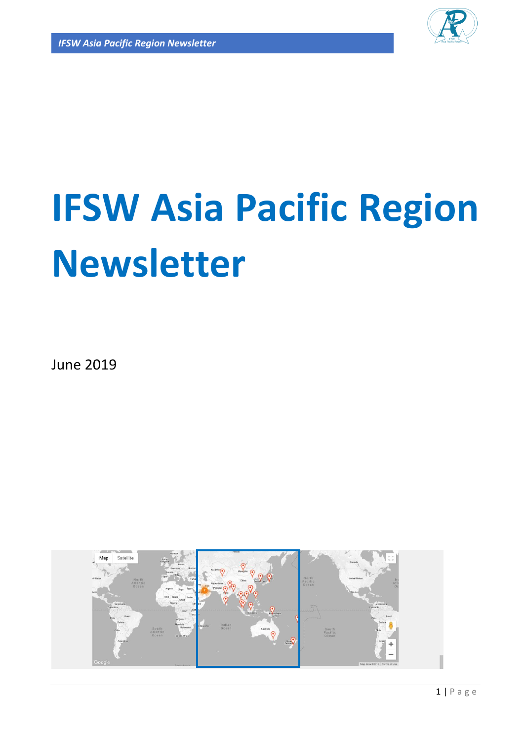

# **IFSW Asia Pacific Region Newsletter**

June 2019

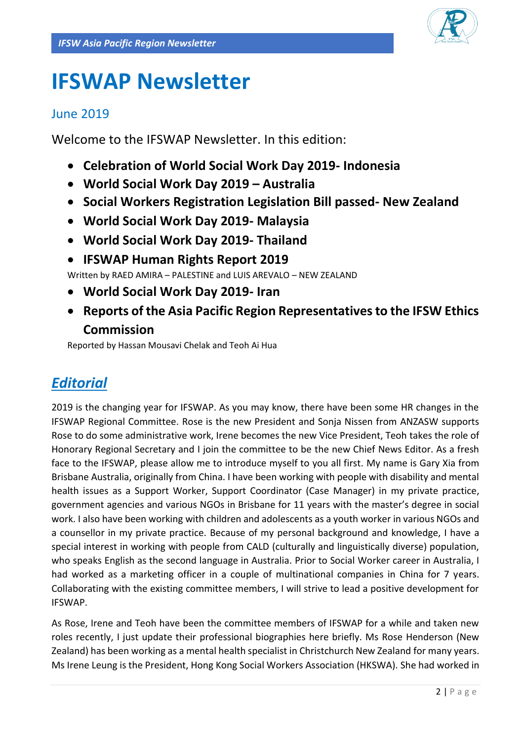

## **IFSWAP Newsletter**

### June 2019

Welcome to the IFSWAP Newsletter. In this edition:

- **Celebration of World Social Work Day 2019- Indonesia**
- **World Social Work Day 2019 – Australia**
- **Social Workers Registration Legislation Bill passed- New Zealand**
- **World Social Work Day 2019- Malaysia**
- **World Social Work Day 2019- Thailand**
- **IFSWAP Human Rights Report 2019**

Written by RAED AMIRA – PALESTINE and LUIS AREVALO – NEW ZEALAND

- **World Social Work Day 2019- Iran**
- **Reports of the Asia Pacific Region Representatives to the IFSW Ethics Commission**

Reported by Hassan Mousavi Chelak and Teoh Ai Hua

## *Editorial*

2019 is the changing year for IFSWAP. As you may know, there have been some HR changes in the IFSWAP Regional Committee. Rose is the new President and Sonja Nissen from ANZASW supports Rose to do some administrative work, Irene becomes the new Vice President, Teoh takes the role of Honorary Regional Secretary and I join the committee to be the new Chief News Editor. As a fresh face to the IFSWAP, please allow me to introduce myself to you all first. My name is Gary Xia from Brisbane Australia, originally from China. I have been working with people with disability and mental health issues as a Support Worker, Support Coordinator (Case Manager) in my private practice, government agencies and various NGOs in Brisbane for 11 years with the master's degree in social work. I also have been working with children and adolescents as a youth worker in various NGOs and a counsellor in my private practice. Because of my personal background and knowledge, I have a special interest in working with people from CALD (culturally and linguistically diverse) population, who speaks English as the second language in Australia. Prior to Social Worker career in Australia, I had worked as a marketing officer in a couple of multinational companies in China for 7 years. Collaborating with the existing committee members, I will strive to lead a positive development for IFSWAP.

As Rose, Irene and Teoh have been the committee members of IFSWAP for a while and taken new roles recently, I just update their professional biographies here briefly. Ms Rose Henderson (New Zealand) has been working as a mental health specialist in Christchurch New Zealand for many years. Ms Irene Leung is the President, Hong Kong Social Workers Association (HKSWA). She had worked in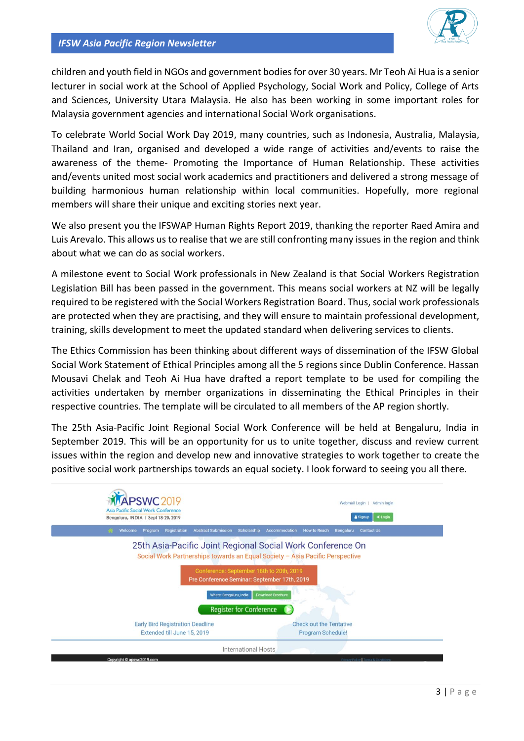children and youth field in NGOs and government bodies for over 30 years. Mr Teoh Ai Hua is a senior lecturer in social work at the School of Applied Psychology, Social Work and Policy, College of Arts and Sciences, University Utara Malaysia. He also has been working in some important roles for Malaysia government agencies and international Social Work organisations.

To celebrate World Social Work Day 2019, many countries, such as Indonesia, Australia, Malaysia, Thailand and Iran, organised and developed a wide range of activities and/events to raise the awareness of the theme- Promoting the Importance of Human Relationship. These activities and/events united most social work academics and practitioners and delivered a strong message of building harmonious human relationship within local communities. Hopefully, more regional members will share their unique and exciting stories next year.

We also present you the IFSWAP Human Rights Report 2019, thanking the reporter Raed Amira and Luis Arevalo. This allows us to realise that we are still confronting many issues in the region and think about what we can do as social workers.

A milestone event to Social Work professionals in New Zealand is that Social Workers Registration Legislation Bill has been passed in the government. This means social workers at NZ will be legally required to be registered with the Social Workers Registration Board. Thus, social work professionals are protected when they are practising, and they will ensure to maintain professional development, training, skills development to meet the updated standard when delivering services to clients.

The Ethics Commission has been thinking about different ways of dissemination of the IFSW Global Social Work Statement of Ethical Principles among all the 5 regions since Dublin Conference. Hassan Mousavi Chelak and Teoh Ai Hua have drafted a report template to be used for compiling the activities undertaken by member organizations in disseminating the Ethical Principles in their respective countries. The template will be circulated to all members of the AP region shortly.

The 25th Asia-Pacific Joint Regional Social Work Conference will be held at Bengaluru, India in September 2019. This will be an opportunity for us to unite together, discuss and review current issues within the region and develop new and innovative strategies to work together to create the positive social work partnerships towards an equal society. I look forward to seeing you all there.

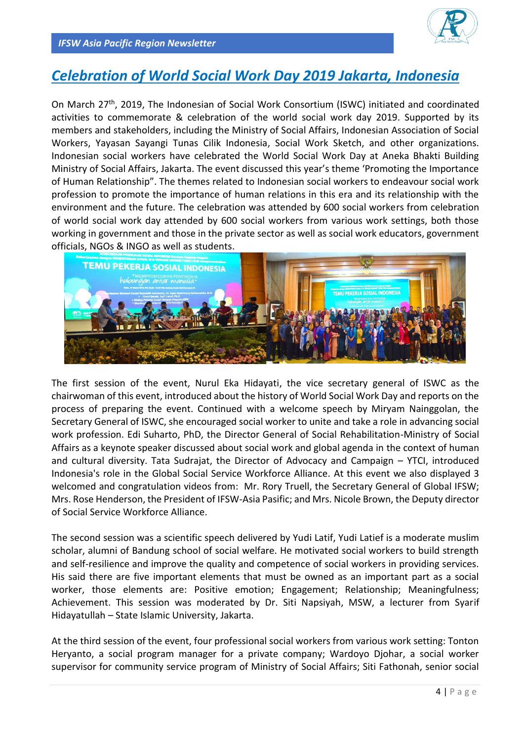

## *Celebration of World Social Work Day 2019 Jakarta, Indonesia*

On March 27<sup>th</sup>, 2019, The Indonesian of Social Work Consortium (ISWC) initiated and coordinated activities to commemorate & celebration of the world social work day 2019. Supported by its members and stakeholders, including the Ministry of Social Affairs, Indonesian Association of Social Workers, Yayasan Sayangi Tunas Cilik Indonesia, Social Work Sketch, and other organizations. Indonesian social workers have celebrated the World Social Work Day at Aneka Bhakti Building Ministry of Social Affairs, Jakarta. The event discussed this year's theme 'Promoting the Importance of Human Relationship". The themes related to Indonesian social workers to endeavour social work profession to promote the importance of human relations in this era and its relationship with the environment and the future. The celebration was attended by 600 social workers from celebration of world social work day attended by 600 social workers from various work settings, both those working in government and those in the private sector as well as social work educators, government officials, NGOs & INGO as well as students.



The first session of the event, Nurul Eka Hidayati, the vice secretary general of ISWC as the chairwoman of this event, introduced about the history of World Social Work Day and reports on the process of preparing the event. Continued with a welcome speech by Miryam Nainggolan, the Secretary General of ISWC, she encouraged social worker to unite and take a role in advancing social work profession. Edi Suharto, PhD, the Director General of Social Rehabilitation-Ministry of Social Affairs as a keynote speaker discussed about social work and global agenda in the context of human and cultural diversity. Tata Sudrajat, the Director of Advocacy and Campaign – YTCI, introduced Indonesia's role in the Global Social Service Workforce Alliance. At this event we also displayed 3 welcomed and congratulation videos from: Mr. Rory Truell, the Secretary General of Global IFSW; Mrs. Rose Henderson, the President of IFSW-Asia Pasific; and Mrs. Nicole Brown, the Deputy director of Social Service Workforce Alliance.

The second session was a scientific speech delivered by Yudi Latif, Yudi Latief is a moderate muslim scholar, alumni of Bandung school of social welfare. He motivated social workers to build strength and self-resilience and improve the quality and competence of social workers in providing services. His said there are five important elements that must be owned as an important part as a social worker, those elements are: Positive emotion; Engagement; Relationship; Meaningfulness; Achievement. This session was moderated by Dr. Siti Napsiyah, MSW, a lecturer from Syarif Hidayatullah – State Islamic University, Jakarta.

At the third session of the event, four professional social workers from various work setting: Tonton Heryanto, a social program manager for a private company; Wardoyo Djohar, a social worker supervisor for community service program of Ministry of Social Affairs; Siti Fathonah, senior social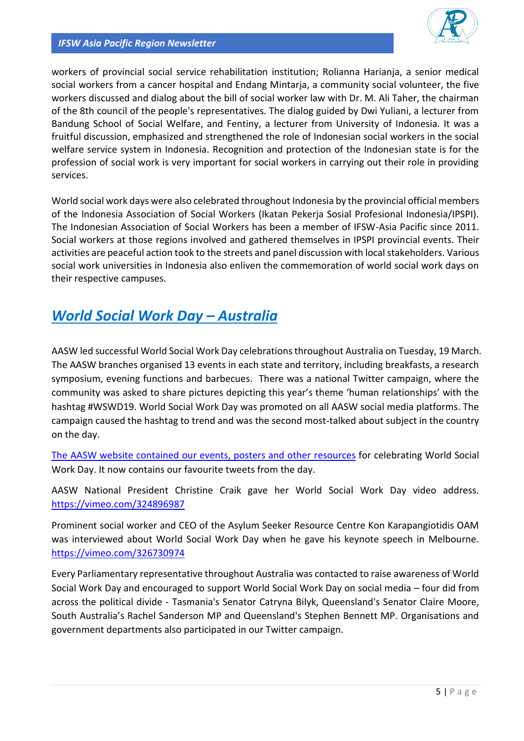

workers of provincial social service rehabilitation institution; Rolianna Harianja, a senior medical social workers from a cancer hospital and Endang Mintarja, a community social volunteer, the five workers discussed and dialog about the bill of social worker law with Dr. M. Ali Taher, the chairman of the 8th council of the people's representatives. The dialog guided by Dwi Yuliani, a lecturer from Bandung School of Social Welfare, and Fentiny, a lecturer from University of Indonesia. It was a fruitful discussion, emphasized and strengthened the role of Indonesian social workers in the social welfare service system in Indonesia. Recognition and protection of the Indonesian state is for the profession of social work is very important for social workers in carrying out their role in providing services.

World social work days were also celebrated throughout Indonesia by the provincial official members of the Indonesia Association of Social Workers (Ikatan Pekerja Sosial Profesional Indonesia/IPSPI). The Indonesian Association of Social Workers has been a member of IFSW-Asia Pacific since 2011. Social workers at those regions involved and gathered themselves in IPSPI provincial events. Their activities are peaceful action took to the streets and panel discussion with local stakeholders. Various social work universities in Indonesia also enliven the commemoration of world social work days on their respective campuses.

## *World Social Work Day – Australia*

AASW led successful World Social Work Day celebrations throughout Australia on Tuesday, 19 March. The AASW branches organised 13 events in each state and territory, including breakfasts, a research symposium, evening functions and barbecues. There was a national Twitter campaign, where the community was asked to share pictures depicting this year's theme 'human relationships' with the hashtag #WSWD19. World Social Work Day was promoted on all AASW social media platforms. The campaign caused the hashtag to trend and was the second most-talked about subject in the country on the day.

[The AASW website contained our events, posters and other resources](https://www.aasw.asn.au/social-policy-advocacy/world-social-work-day-2019) for celebrating World Social Work Day. It now contains our favourite tweets from the day.

AASW National President Christine Craik gave her World Social Work Day video address. <https://vimeo.com/324896987>

Prominent social worker and CEO of the Asylum Seeker Resource Centre Kon Karapangiotidis OAM was interviewed about World Social Work Day when he gave his keynote speech in Melbourne. <https://vimeo.com/326730974>

Every Parliamentary representative throughout Australia was contacted to raise awareness of World Social Work Day and encouraged to support World Social Work Day on social media – four did from across the political divide - Tasmania's Senator Catryna Bilyk, Queensland's Senator Claire Moore, South Australia's Rachel Sanderson MP and Queensland's Stephen Bennett MP. Organisations and government departments also participated in our Twitter campaign.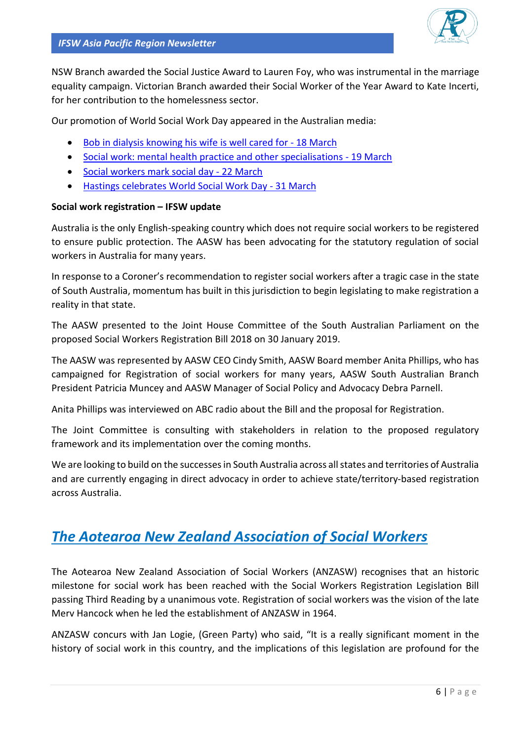NSW Branch awarded the Social Justice Award to Lauren Foy, who was instrumental in the marriage equality campaign. Victorian Branch awarded their Social Worker of the Year Award to Kate Incerti, for her contribution to the homelessness sector.

Our promotion of World Social Work Day appeared in the Australian media:

- [Bob in dialysis knowing his wife is well cared for -](https://www.aasw.asn.au/news-media/2019/bob-in-dialysis-knowing-his-wife-is-well-cared-for) 18 March
- [Social work: mental health practice and other specialisations -](https://healthtimes.com.au/hub/allied-health/66/guidance/hw/social-work-mental-health-practice-and-other-specialisations/3964/) 19 March
- [Social workers mark social day -](https://psnews.com.au/2019/03/22/social-workers-mark-social-day/) 22 March
- [Hastings celebrates World Social Work Day -](https://www.portnews.com.au/story/5981769/social-workers-send-message-of-support-to-christchurch/?cs=257) 31 March

#### **Social work registration – IFSW update**

Australia is the only English-speaking country which does not require social workers to be registered to ensure public protection. The AASW has been advocating for the statutory regulation of social workers in Australia for many years.

In response to a Coroner's recommendation to register social workers after a tragic case in the state of South Australia, momentum has built in this jurisdiction to begin legislating to make registration a reality in that state.

The AASW presented to the Joint House Committee of the South Australian Parliament on the proposed Social Workers Registration Bill 2018 on 30 January 2019.

The AASW was represented by AASW CEO Cindy Smith, AASW Board member Anita Phillips, who has campaigned for Registration of social workers for many years, AASW South Australian Branch President Patricia Muncey and AASW Manager of Social Policy and Advocacy Debra Parnell.

Anita Phillips was interviewed on ABC radio about the Bill and the proposal for Registration.

The Joint Committee is consulting with stakeholders in relation to the proposed regulatory framework and its implementation over the coming months.

We are looking to build on the successes in South Australia across all states and territories of Australia and are currently engaging in direct advocacy in order to achieve state/territory-based registration across Australia.

## *The Aotearoa New Zealand Association of Social Workers*

The Aotearoa New Zealand Association of Social Workers (ANZASW) recognises that an historic milestone for social work has been reached with the Social Workers Registration Legislation Bill passing Third Reading by a unanimous vote. Registration of social workers was the vision of the late Merv Hancock when he led the establishment of ANZASW in 1964.

ANZASW concurs with Jan Logie, (Green Party) who said, "It is a really significant moment in the history of social work in this country, and the implications of this legislation are profound for the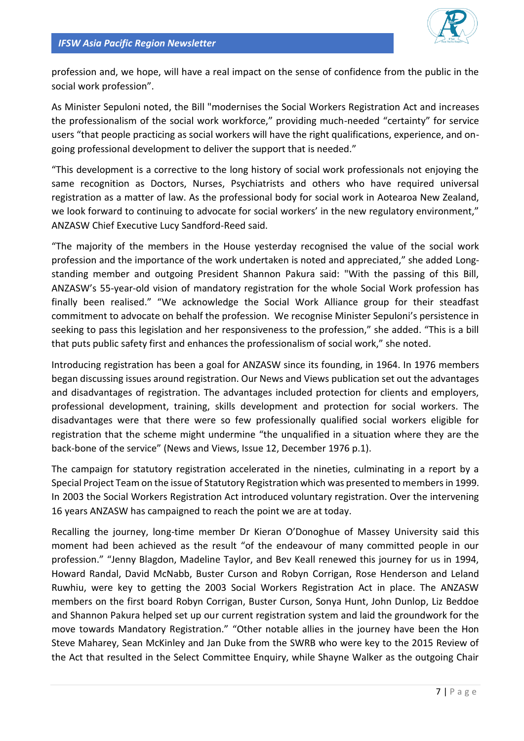

profession and, we hope, will have a real impact on the sense of confidence from the public in the social work profession".

As Minister Sepuloni noted, the Bill "modernises the Social Workers Registration Act and increases the professionalism of the social work workforce," providing much-needed "certainty" for service users "that people practicing as social workers will have the right qualifications, experience, and ongoing professional development to deliver the support that is needed."

"This development is a corrective to the long history of social work professionals not enjoying the same recognition as Doctors, Nurses, Psychiatrists and others who have required universal registration as a matter of law. As the professional body for social work in Aotearoa New Zealand, we look forward to continuing to advocate for social workers' in the new regulatory environment," ANZASW Chief Executive Lucy Sandford-Reed said.

"The majority of the members in the House yesterday recognised the value of the social work profession and the importance of the work undertaken is noted and appreciated," she added Longstanding member and outgoing President Shannon Pakura said: "With the passing of this Bill, ANZASW's 55-year-old vision of mandatory registration for the whole Social Work profession has finally been realised." "We acknowledge the Social Work Alliance group for their steadfast commitment to advocate on behalf the profession. We recognise Minister Sepuloni's persistence in seeking to pass this legislation and her responsiveness to the profession," she added. "This is a bill that puts public safety first and enhances the professionalism of social work," she noted.

Introducing registration has been a goal for ANZASW since its founding, in 1964. In 1976 members began discussing issues around registration. Our News and Views publication set out the advantages and disadvantages of registration. The advantages included protection for clients and employers, professional development, training, skills development and protection for social workers. The disadvantages were that there were so few professionally qualified social workers eligible for registration that the scheme might undermine "the unqualified in a situation where they are the back-bone of the service" (News and Views, Issue 12, December 1976 p.1).

The campaign for statutory registration accelerated in the nineties, culminating in a report by a Special Project Team on the issue of Statutory Registration which was presented to members in 1999. In 2003 the Social Workers Registration Act introduced voluntary registration. Over the intervening 16 years ANZASW has campaigned to reach the point we are at today.

Recalling the journey, long-time member Dr Kieran O'Donoghue of Massey University said this moment had been achieved as the result "of the endeavour of many committed people in our profession." "Jenny Blagdon, Madeline Taylor, and Bev Keall renewed this journey for us in 1994, Howard Randal, David McNabb, Buster Curson and Robyn Corrigan, Rose Henderson and Leland Ruwhiu, were key to getting the 2003 Social Workers Registration Act in place. The ANZASW members on the first board Robyn Corrigan, Buster Curson, Sonya Hunt, John Dunlop, Liz Beddoe and Shannon Pakura helped set up our current registration system and laid the groundwork for the move towards Mandatory Registration." "Other notable allies in the journey have been the Hon Steve Maharey, Sean McKinley and Jan Duke from the SWRB who were key to the 2015 Review of the Act that resulted in the Select Committee Enquiry, while Shayne Walker as the outgoing Chair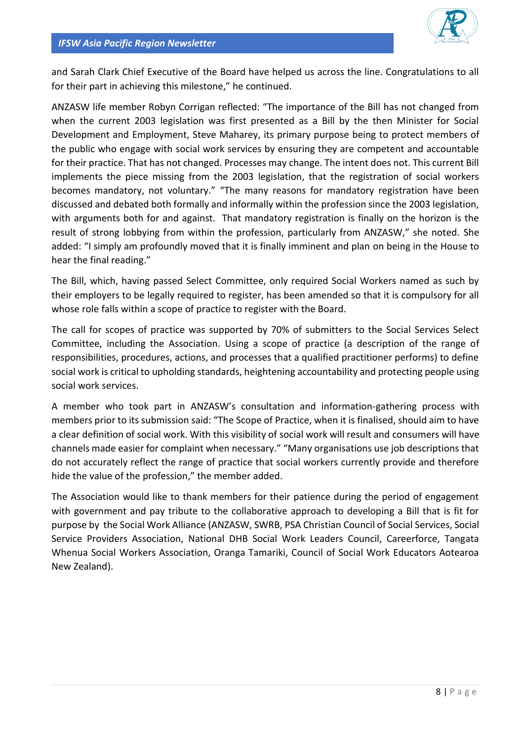

and Sarah Clark Chief Executive of the Board have helped us across the line. Congratulations to all for their part in achieving this milestone," he continued.

ANZASW life member Robyn Corrigan reflected: "The importance of the Bill has not changed from when the current 2003 legislation was first presented as a Bill by the then Minister for Social Development and Employment, Steve Maharey, its primary purpose being to protect members of the public who engage with social work services by ensuring they are competent and accountable for their practice. That has not changed. Processes may change. The intent does not. This current Bill implements the piece missing from the 2003 legislation, that the registration of social workers becomes mandatory, not voluntary." "The many reasons for mandatory registration have been discussed and debated both formally and informally within the profession since the 2003 legislation, with arguments both for and against. That mandatory registration is finally on the horizon is the result of strong lobbying from within the profession, particularly from ANZASW," she noted. She added: "I simply am profoundly moved that it is finally imminent and plan on being in the House to hear the final reading."

The Bill, which, having passed Select Committee, only required Social Workers named as such by their employers to be legally required to register, has been amended so that it is compulsory for all whose role falls within a scope of practice to register with the Board.

The call for scopes of practice was supported by 70% of submitters to the Social Services Select Committee, including the Association. Using a scope of practice (a description of the range of responsibilities, procedures, actions, and processes that a qualified practitioner performs) to define social work is critical to upholding standards, heightening accountability and protecting people using social work services.

A member who took part in ANZASW's consultation and information-gathering process with members prior to its submission said: "The Scope of Practice, when it is finalised, should aim to have a clear definition of social work. With this visibility of social work will result and consumers will have channels made easier for complaint when necessary." "Many organisations use job descriptions that do not accurately reflect the range of practice that social workers currently provide and therefore hide the value of the profession," the member added.

The Association would like to thank members for their patience during the period of engagement with government and pay tribute to the collaborative approach to developing a Bill that is fit for purpose by the Social Work Alliance (ANZASW, SWRB, PSA Christian Council of Social Services, Social Service Providers Association, National DHB Social Work Leaders Council, Careerforce, Tangata Whenua Social Workers Association, Oranga Tamariki, Council of Social Work Educators Aotearoa New Zealand).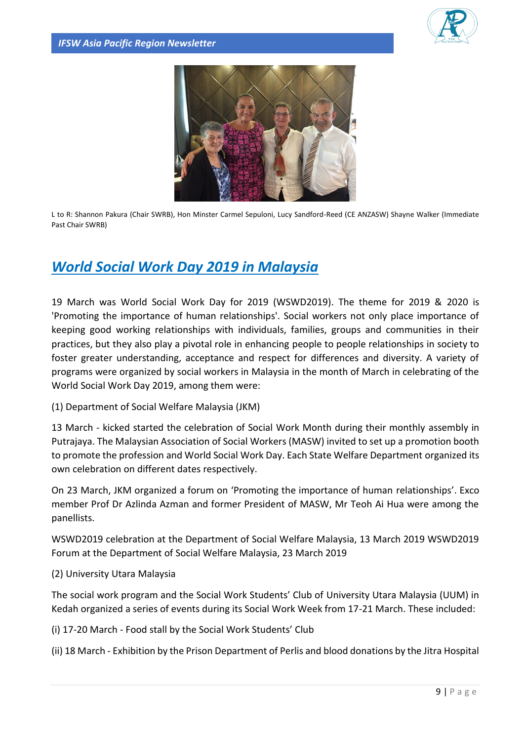



L to R: Shannon Pakura (Chair SWRB), Hon Minster Carmel Sepuloni, Lucy Sandford-Reed (CE ANZASW) Shayne Walker (Immediate Past Chair SWRB)

## *World Social Work Day 2019 in Malaysia*

19 March was World Social Work Day for 2019 (WSWD2019). The theme for 2019 & 2020 is 'Promoting the importance of human relationships'. Social workers not only place importance of keeping good working relationships with individuals, families, groups and communities in their practices, but they also play a pivotal role in enhancing people to people relationships in society to foster greater understanding, acceptance and respect for differences and diversity. A variety of programs were organized by social workers in Malaysia in the month of March in celebrating of the World Social Work Day 2019, among them were:

(1) Department of Social Welfare Malaysia (JKM)

13 March - kicked started the celebration of Social Work Month during their monthly assembly in Putrajaya. The Malaysian Association of Social Workers (MASW) invited to set up a promotion booth to promote the profession and World Social Work Day. Each State Welfare Department organized its own celebration on different dates respectively.

On 23 March, JKM organized a forum on 'Promoting the importance of human relationships'. Exco member Prof Dr Azlinda Azman and former President of MASW, Mr Teoh Ai Hua were among the panellists.

WSWD2019 celebration at the Department of Social Welfare Malaysia, 13 March 2019 WSWD2019 Forum at the Department of Social Welfare Malaysia, 23 March 2019

(2) University Utara Malaysia

The social work program and the Social Work Students' Club of University Utara Malaysia (UUM) in Kedah organized a series of events during its Social Work Week from 17-21 March. These included:

(i) 17-20 March - Food stall by the Social Work Students' Club

(ii) 18 March - Exhibition by the Prison Department of Perlis and blood donations by the Jitra Hospital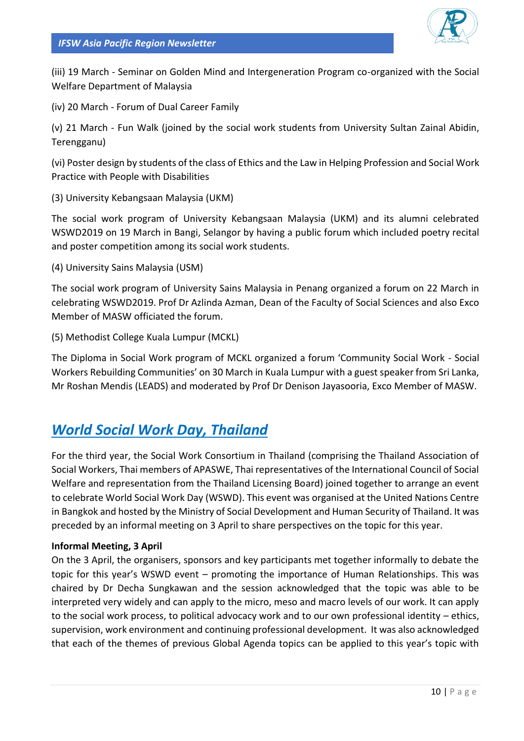

(iii) 19 March - Seminar on Golden Mind and Intergeneration Program co-organized with the Social Welfare Department of Malaysia

(iv) 20 March - Forum of Dual Career Family

(v) 21 March - Fun Walk (joined by the social work students from University Sultan Zainal Abidin, Terengganu)

(vi) Poster design by students of the class of Ethics and the Law in Helping Profession and Social Work Practice with People with Disabilities

(3) University Kebangsaan Malaysia (UKM)

The social work program of University Kebangsaan Malaysia (UKM) and its alumni celebrated WSWD2019 on 19 March in Bangi, Selangor by having a public forum which included poetry recital and poster competition among its social work students.

(4) University Sains Malaysia (USM)

The social work program of University Sains Malaysia in Penang organized a forum on 22 March in celebrating WSWD2019. Prof Dr Azlinda Azman, Dean of the Faculty of Social Sciences and also Exco Member of MASW officiated the forum.

(5) Methodist College Kuala Lumpur (MCKL)

The Diploma in Social Work program of MCKL organized a forum 'Community Social Work - Social Workers Rebuilding Communities' on 30 March in Kuala Lumpur with a guest speaker from Sri Lanka, Mr Roshan Mendis (LEADS) and moderated by Prof Dr Denison Jayasooria, Exco Member of MASW.

## *World Social Work Day, Thailand*

For the third year, the Social Work Consortium in Thailand (comprising the Thailand Association of Social Workers, Thai members of APASWE, Thai representatives of the International Council of Social Welfare and representation from the Thailand Licensing Board) joined together to arrange an event to celebrate World Social Work Day (WSWD). This event was organised at the United Nations Centre in Bangkok and hosted by the Ministry of Social Development and Human Security of Thailand. It was preceded by an informal meeting on 3 April to share perspectives on the topic for this year.

#### **Informal Meeting, 3 April**

On the 3 April, the organisers, sponsors and key participants met together informally to debate the topic for this year's WSWD event – promoting the importance of Human Relationships. This was chaired by Dr Decha Sungkawan and the session acknowledged that the topic was able to be interpreted very widely and can apply to the micro, meso and macro levels of our work. It can apply to the social work process, to political advocacy work and to our own professional identity – ethics, supervision, work environment and continuing professional development. It was also acknowledged that each of the themes of previous Global Agenda topics can be applied to this year's topic with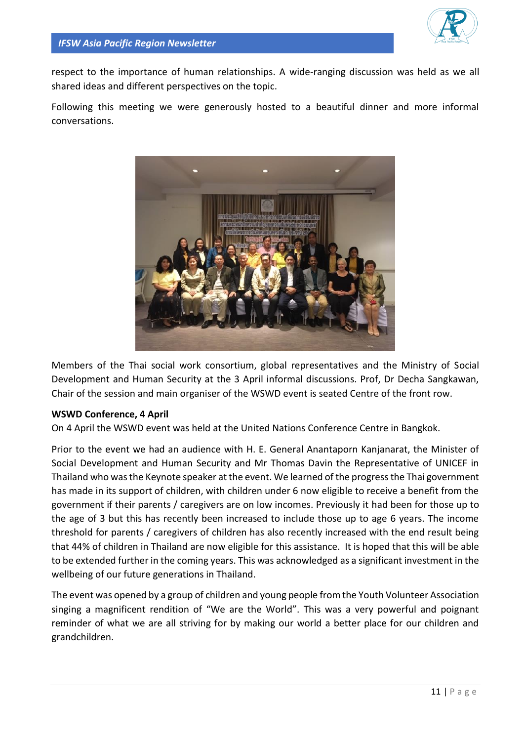

respect to the importance of human relationships. A wide-ranging discussion was held as we all shared ideas and different perspectives on the topic.

Following this meeting we were generously hosted to a beautiful dinner and more informal conversations.



Members of the Thai social work consortium, global representatives and the Ministry of Social Development and Human Security at the 3 April informal discussions. Prof, Dr Decha Sangkawan, Chair of the session and main organiser of the WSWD event is seated Centre of the front row.

#### **WSWD Conference, 4 April**

On 4 April the WSWD event was held at the United Nations Conference Centre in Bangkok.

Prior to the event we had an audience with H. E. General Anantaporn Kanjanarat, the Minister of Social Development and Human Security and Mr Thomas Davin the Representative of UNICEF in Thailand who was the Keynote speaker at the event. We learned of the progress the Thai government has made in its support of children, with children under 6 now eligible to receive a benefit from the government if their parents / caregivers are on low incomes. Previously it had been for those up to the age of 3 but this has recently been increased to include those up to age 6 years. The income threshold for parents / caregivers of children has also recently increased with the end result being that 44% of children in Thailand are now eligible for this assistance. It is hoped that this will be able to be extended further in the coming years. This was acknowledged as a significant investment in the wellbeing of our future generations in Thailand.

The event was opened by a group of children and young people from the Youth Volunteer Association singing a magnificent rendition of "We are the World". This was a very powerful and poignant reminder of what we are all striving for by making our world a better place for our children and grandchildren.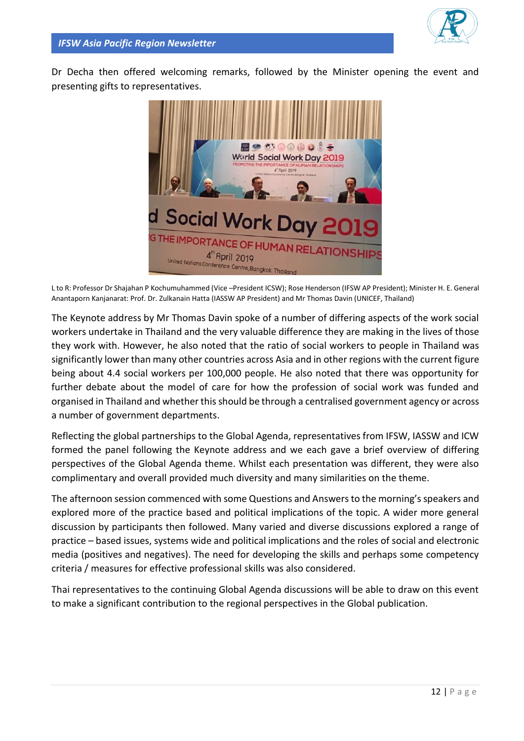

Dr Decha then offered welcoming remarks, followed by the Minister opening the event and presenting gifts to representatives.



L to R: Professor Dr Shajahan P Kochumuhammed (Vice –President ICSW); Rose Henderson (IFSW AP President); Minister H. E. General Anantaporn Kanjanarat: Prof. Dr. Zulkanain Hatta (IASSW AP President) and Mr Thomas Davin (UNICEF, Thailand)

The Keynote address by Mr Thomas Davin spoke of a number of differing aspects of the work social workers undertake in Thailand and the very valuable difference they are making in the lives of those they work with. However, he also noted that the ratio of social workers to people in Thailand was significantly lower than many other countries across Asia and in other regions with the current figure being about 4.4 social workers per 100,000 people. He also noted that there was opportunity for further debate about the model of care for how the profession of social work was funded and organised in Thailand and whether this should be through a centralised government agency or across a number of government departments.

Reflecting the global partnerships to the Global Agenda, representatives from IFSW, IASSW and ICW formed the panel following the Keynote address and we each gave a brief overview of differing perspectives of the Global Agenda theme. Whilst each presentation was different, they were also complimentary and overall provided much diversity and many similarities on the theme.

The afternoon session commenced with some Questions and Answers to the morning's speakers and explored more of the practice based and political implications of the topic. A wider more general discussion by participants then followed. Many varied and diverse discussions explored a range of practice – based issues, systems wide and political implications and the roles of social and electronic media (positives and negatives). The need for developing the skills and perhaps some competency criteria / measures for effective professional skills was also considered.

Thai representatives to the continuing Global Agenda discussions will be able to draw on this event to make a significant contribution to the regional perspectives in the Global publication.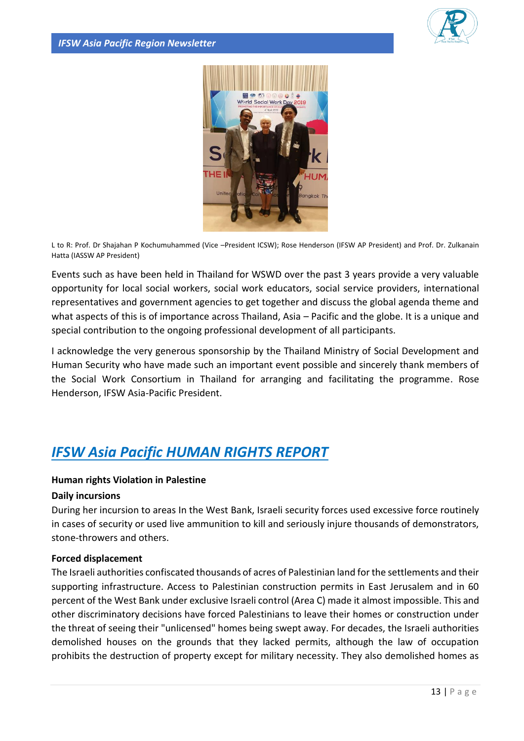



L to R: Prof. Dr Shajahan P Kochumuhammed (Vice –President ICSW); Rose Henderson (IFSW AP President) and Prof. Dr. Zulkanain Hatta (IASSW AP President)

Events such as have been held in Thailand for WSWD over the past 3 years provide a very valuable opportunity for local social workers, social work educators, social service providers, international representatives and government agencies to get together and discuss the global agenda theme and what aspects of this is of importance across Thailand, Asia – Pacific and the globe. It is a unique and special contribution to the ongoing professional development of all participants.

I acknowledge the very generous sponsorship by the Thailand Ministry of Social Development and Human Security who have made such an important event possible and sincerely thank members of the Social Work Consortium in Thailand for arranging and facilitating the programme. Rose Henderson, IFSW Asia-Pacific President.

## *IFSW Asia Pacific HUMAN RIGHTS REPORT*

#### **Human rights Violation in Palestine**

#### **Daily incursions**

During her incursion to areas In the West Bank, Israeli security forces used excessive force routinely in cases of security or used live ammunition to kill and seriously injure thousands of demonstrators, stone-throwers and others.

#### **Forced displacement**

The Israeli authorities confiscated thousands of acres of Palestinian land for the settlements and their supporting infrastructure. Access to Palestinian construction permits in East Jerusalem and in 60 percent of the West Bank under exclusive Israeli control (Area C) made it almost impossible. This and other discriminatory decisions have forced Palestinians to leave their homes or construction under the threat of seeing their "unlicensed" homes being swept away. For decades, the Israeli authorities demolished houses on the grounds that they lacked permits, although the law of occupation prohibits the destruction of property except for military necessity. They also demolished homes as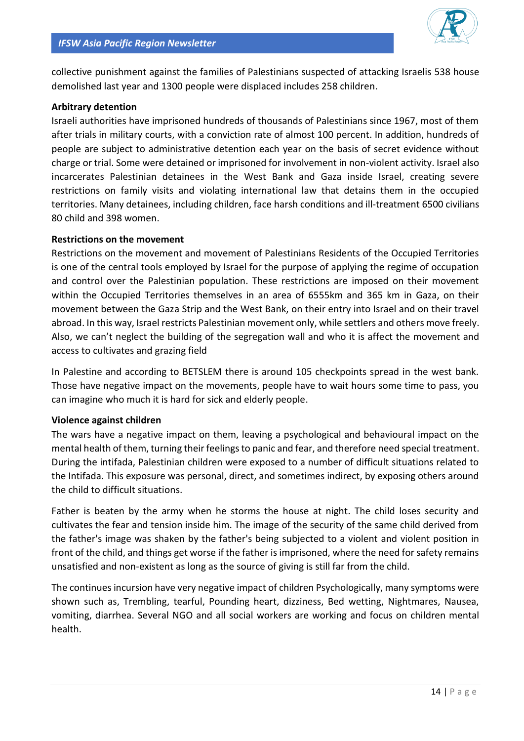

collective punishment against the families of Palestinians suspected of attacking Israelis 538 house demolished last year and 1300 people were displaced includes 258 children.

#### **Arbitrary detention**

Israeli authorities have imprisoned hundreds of thousands of Palestinians since 1967, most of them after trials in military courts, with a conviction rate of almost 100 percent. In addition, hundreds of people are subject to administrative detention each year on the basis of secret evidence without charge or trial. Some were detained or imprisoned for involvement in non-violent activity. Israel also incarcerates Palestinian detainees in the West Bank and Gaza inside Israel, creating severe restrictions on family visits and violating international law that detains them in the occupied territories. Many detainees, including children, face harsh conditions and ill-treatment 6500 civilians 80 child and 398 women.

#### **Restrictions on the movement**

Restrictions on the movement and movement of Palestinians Residents of the Occupied Territories is one of the central tools employed by Israel for the purpose of applying the regime of occupation and control over the Palestinian population. These restrictions are imposed on their movement within the Occupied Territories themselves in an area of 6555km and 365 km in Gaza, on their movement between the Gaza Strip and the West Bank, on their entry into Israel and on their travel abroad. In this way, Israel restricts Palestinian movement only, while settlers and others move freely. Also, we can't neglect the building of the segregation wall and who it is affect the movement and access to cultivates and grazing field

In Palestine and according to BETSLEM there is around 105 checkpoints spread in the west bank. Those have negative impact on the movements, people have to wait hours some time to pass, you can imagine who much it is hard for sick and elderly people.

#### **Violence against children**

The wars have a negative impact on them, leaving a psychological and behavioural impact on the mental health of them, turning their feelings to panic and fear, and therefore need special treatment. During the intifada, Palestinian children were exposed to a number of difficult situations related to the Intifada. This exposure was personal, direct, and sometimes indirect, by exposing others around the child to difficult situations.

Father is beaten by the army when he storms the house at night. The child loses security and cultivates the fear and tension inside him. The image of the security of the same child derived from the father's image was shaken by the father's being subjected to a violent and violent position in front of the child, and things get worse if the father is imprisoned, where the need for safety remains unsatisfied and non-existent as long as the source of giving is still far from the child.

The continues incursion have very negative impact of children Psychologically, many symptoms were shown such as, Trembling, tearful, Pounding heart, dizziness, Bed wetting, Nightmares, Nausea, vomiting, diarrhea. Several NGO and all social workers are working and focus on children mental health.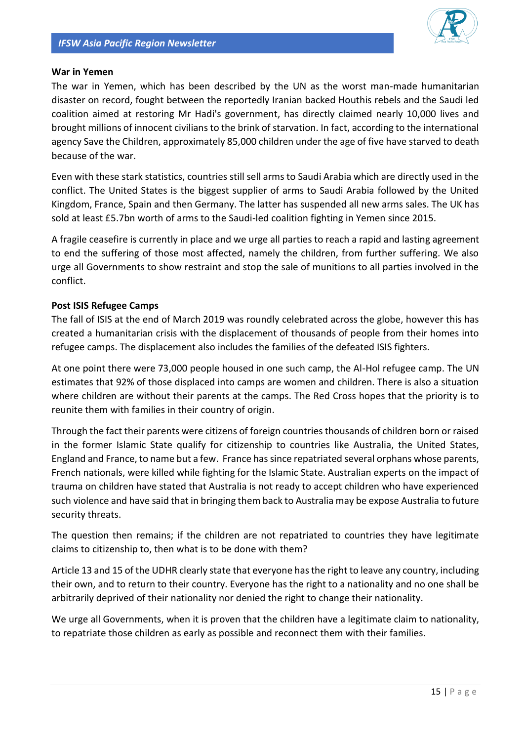

#### **War in Yemen**

The war in Yemen, which has been described by the UN as the worst man-made humanitarian disaster on record, fought between the reportedly Iranian backed Houthis rebels and the Saudi led coalition aimed at restoring Mr Hadi's government, has directly claimed nearly 10,000 lives and brought millions of innocent civilians to the brink of starvation. In fact, according to the international agency Save the Children, approximately 85,000 children under the age of five have starved to death because of the war.

Even with these stark statistics, countries still sell arms to Saudi Arabia which are directly used in the conflict. The United States is the biggest supplier of arms to Saudi Arabia followed by the United Kingdom, France, Spain and then Germany. The latter has suspended all new arms sales. The UK has sold at least £5.7bn worth of arms to the Saudi-led coalition fighting in Yemen since 2015.

A fragile ceasefire is currently in place and we urge all parties to reach a rapid and lasting agreement to end the suffering of those most affected, namely the children, from further suffering. We also urge all Governments to show restraint and stop the sale of munitions to all parties involved in the conflict.

#### **Post ISIS Refugee Camps**

The fall of ISIS at the end of March 2019 was roundly celebrated across the globe, however this has created a humanitarian crisis with the displacement of thousands of people from their homes into refugee camps. The displacement also includes the families of the defeated ISIS fighters.

At one point there were 73,000 people housed in one such camp, the Al-Hol refugee camp. The UN estimates that 92% of those displaced into camps are women and children. There is also a situation where children are without their parents at the camps. The Red Cross hopes that the priority is to reunite them with families in their country of origin.

Through the fact their parents were citizens of foreign countries thousands of children born or raised in the former Islamic State qualify for citizenship to countries like Australia, the United States, England and France, to name but a few. France has since repatriated several orphans whose parents, French nationals, were killed while fighting for the Islamic State. Australian experts on the impact of trauma on children have stated that Australia is not ready to accept children who have experienced such violence and have said that in bringing them back to Australia may be expose Australia to future security threats.

The question then remains; if the children are not repatriated to countries they have legitimate claims to citizenship to, then what is to be done with them?

Article 13 and 15 of the UDHR clearly state that everyone has the right to leave any country, including their own, and to return to their country. Everyone has the right to a nationality and no one shall be arbitrarily deprived of their nationality nor denied the right to change their nationality.

We urge all Governments, when it is proven that the children have a legitimate claim to nationality, to repatriate those children as early as possible and reconnect them with their families.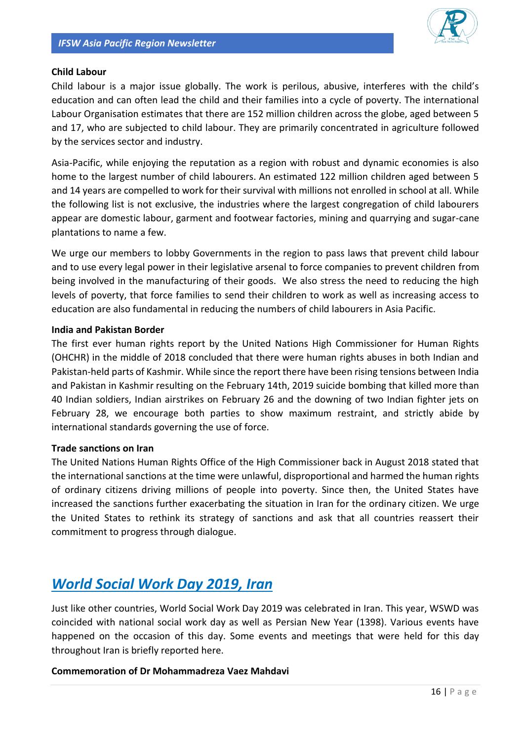

#### **Child Labour**

Child labour is a major issue globally. The work is perilous, abusive, interferes with the child's education and can often lead the child and their families into a cycle of poverty. The international Labour Organisation estimates that there are 152 million children across the globe, aged between 5 and 17, who are subjected to child labour. They are primarily concentrated in agriculture followed by the services sector and industry.

Asia-Pacific, while enjoying the reputation as a region with robust and dynamic economies is also home to the largest number of child labourers. An estimated 122 million children aged between 5 and 14 years are compelled to work for their survival with millions not enrolled in school at all. While the following list is not exclusive, the industries where the largest congregation of child labourers appear are domestic labour, garment and footwear factories, mining and quarrying and sugar-cane plantations to name a few.

We urge our members to lobby Governments in the region to pass laws that prevent child labour and to use every legal power in their legislative arsenal to force companies to prevent children from being involved in the manufacturing of their goods. We also stress the need to reducing the high levels of poverty, that force families to send their children to work as well as increasing access to education are also fundamental in reducing the numbers of child labourers in Asia Pacific.

#### **India and Pakistan Border**

The first ever human rights report by the United Nations High Commissioner for Human Rights (OHCHR) in the middle of 2018 concluded that there were human rights abuses in both Indian and Pakistan-held parts of Kashmir. While since the report there have been rising tensions between India and Pakistan in Kashmir resulting on the February 14th, 2019 suicide bombing that killed more than 40 Indian soldiers, Indian airstrikes on February 26 and the downing of two Indian fighter jets on February 28, we encourage both parties to show maximum restraint, and strictly abide by international standards governing the use of force.

#### **Trade sanctions on Iran**

The United Nations Human Rights Office of the High Commissioner back in August 2018 stated that the international sanctions at the time were unlawful, disproportional and harmed the human rights of ordinary citizens driving millions of people into poverty. Since then, the United States have increased the sanctions further exacerbating the situation in Iran for the ordinary citizen. We urge the United States to rethink its strategy of sanctions and ask that all countries reassert their commitment to progress through dialogue.

## *World Social Work Day 2019, Iran*

Just like other countries, World Social Work Day 2019 was celebrated in Iran. This year, WSWD was coincided with national social work day as well as Persian New Year (1398). Various events have happened on the occasion of this day. Some events and meetings that were held for this day throughout Iran is briefly reported here.

#### **Commemoration of Dr Mohammadreza Vaez Mahdavi**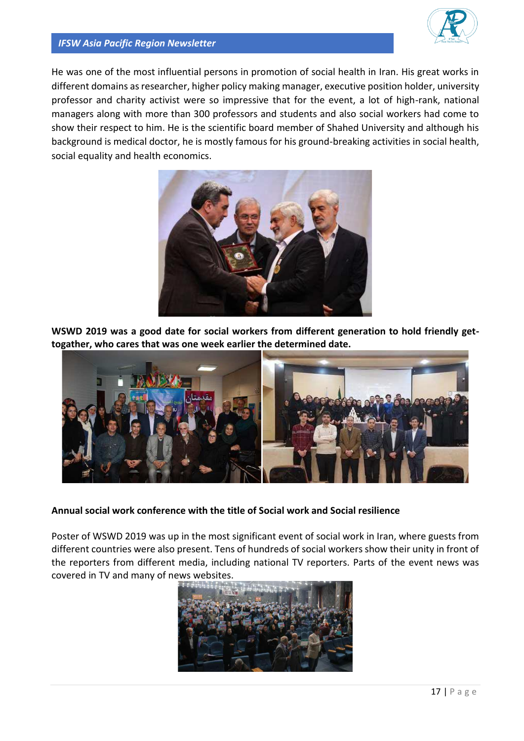

#### *IFSW Asia Pacific Region Newsletter*

He was one of the most influential persons in promotion of social health in Iran. His great works in different domains as researcher, higher policy making manager, executive position holder, university professor and charity activist were so impressive that for the event, a lot of high-rank, national managers along with more than 300 professors and students and also social workers had come to show their respect to him. He is the scientific board member of Shahed University and although his background is medical doctor, he is mostly famous for his ground-breaking activities in social health, social equality and health economics.



**WSWD 2019 was a good date for social workers from different generation to hold friendly gettogather, who cares that was one week earlier the determined date.**



#### **Annual social work conference with the title of Social work and Social resilience**

Poster of WSWD 2019 was up in the most significant event of social work in Iran, where guests from different countries were also present. Tens of hundreds of social workers show their unity in front of the reporters from different media, including national TV reporters. Parts of the event news was covered in TV and many of news websites.

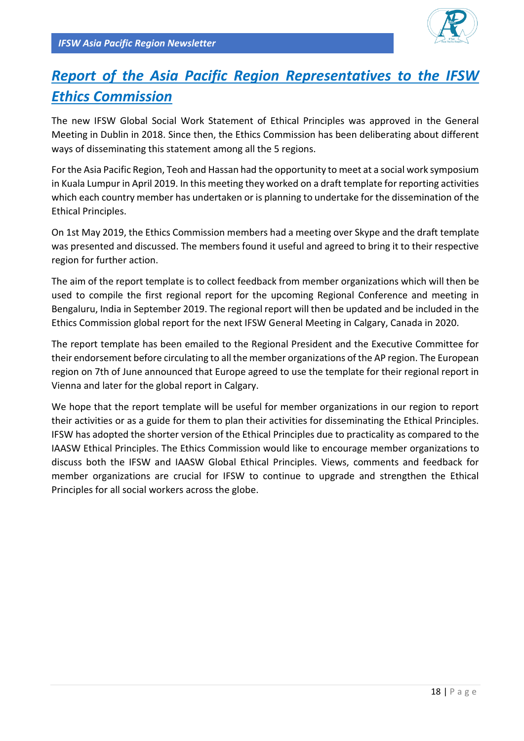

## *Report of the Asia Pacific Region Representatives to the IFSW Ethics Commission*

The new IFSW Global Social Work Statement of Ethical Principles was approved in the General Meeting in Dublin in 2018. Since then, the Ethics Commission has been deliberating about different ways of disseminating this statement among all the 5 regions.

For the Asia Pacific Region, Teoh and Hassan had the opportunity to meet at a social work symposium in Kuala Lumpur in April 2019. In this meeting they worked on a draft template for reporting activities which each country member has undertaken or is planning to undertake for the dissemination of the Ethical Principles.

On 1st May 2019, the Ethics Commission members had a meeting over Skype and the draft template was presented and discussed. The members found it useful and agreed to bring it to their respective region for further action.

The aim of the report template is to collect feedback from member organizations which will then be used to compile the first regional report for the upcoming Regional Conference and meeting in Bengaluru, India in September 2019. The regional report will then be updated and be included in the Ethics Commission global report for the next IFSW General Meeting in Calgary, Canada in 2020.

The report template has been emailed to the Regional President and the Executive Committee for their endorsement before circulating to all the member organizations of the AP region. The European region on 7th of June announced that Europe agreed to use the template for their regional report in Vienna and later for the global report in Calgary.

We hope that the report template will be useful for member organizations in our region to report their activities or as a guide for them to plan their activities for disseminating the Ethical Principles. IFSW has adopted the shorter version of the Ethical Principles due to practicality as compared to the IAASW Ethical Principles. The Ethics Commission would like to encourage member organizations to discuss both the IFSW and IAASW Global Ethical Principles. Views, comments and feedback for member organizations are crucial for IFSW to continue to upgrade and strengthen the Ethical Principles for all social workers across the globe.